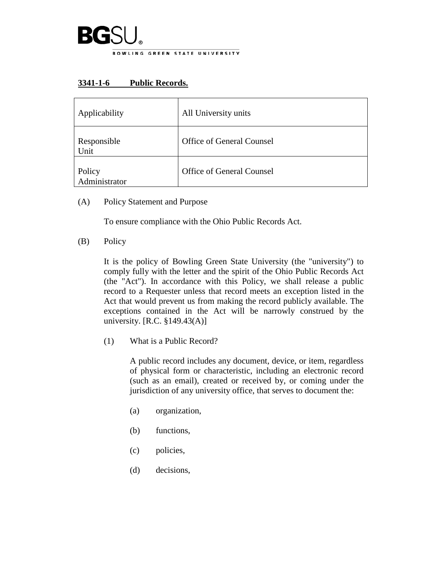

## **3341-1-6 Public Records.**

| Applicability           | All University units             |
|-------------------------|----------------------------------|
| Responsible<br>Unit     | <b>Office of General Counsel</b> |
| Policy<br>Administrator | Office of General Counsel        |

(A) Policy Statement and Purpose

To ensure compliance with the Ohio Public Records Act.

(B) Policy

It is the policy of Bowling Green State University (the "university") to comply fully with the letter and the spirit of the Ohio Public Records Act (the "Act"). In accordance with this Policy, we shall release a public record to a Requester unless that record meets an exception listed in the Act that would prevent us from making the record publicly available. The exceptions contained in the Act will be narrowly construed by the university. [R.C. §149.43(A)]

(1) What is a Public Record?

A public record includes any document, device, or item, regardless of physical form or characteristic, including an electronic record (such as an email), created or received by, or coming under the jurisdiction of any university office, that serves to document the:

- (a) organization,
- (b) functions,
- (c) policies,
- (d) decisions,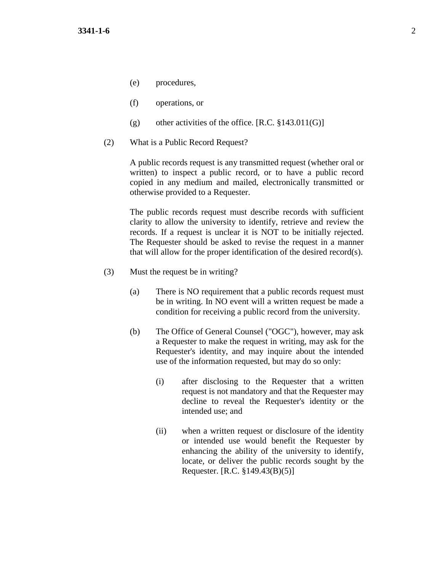- (e) procedures,
- (f) operations, or
- (g) other activities of the office.  $[R.C. §143.011(G)]$
- (2) What is a Public Record Request?

A public records request is any transmitted request (whether oral or written) to inspect a public record, or to have a public record copied in any medium and mailed, electronically transmitted or otherwise provided to a Requester.

The public records request must describe records with sufficient clarity to allow the university to identify, retrieve and review the records. If a request is unclear it is NOT to be initially rejected. The Requester should be asked to revise the request in a manner that will allow for the proper identification of the desired record(s).

- (3) Must the request be in writing?
	- (a) There is NO requirement that a public records request must be in writing. In NO event will a written request be made a condition for receiving a public record from the university.
	- (b) The Office of General Counsel ("OGC"), however, may ask a Requester to make the request in writing, may ask for the Requester's identity, and may inquire about the intended use of the information requested, but may do so only:
		- (i) after disclosing to the Requester that a written request is not mandatory and that the Requester may decline to reveal the Requester's identity or the intended use; and
		- (ii) when a written request or disclosure of the identity or intended use would benefit the Requester by enhancing the ability of the university to identify, locate, or deliver the public records sought by the Requester. [R.C. §149.43(B)(5)]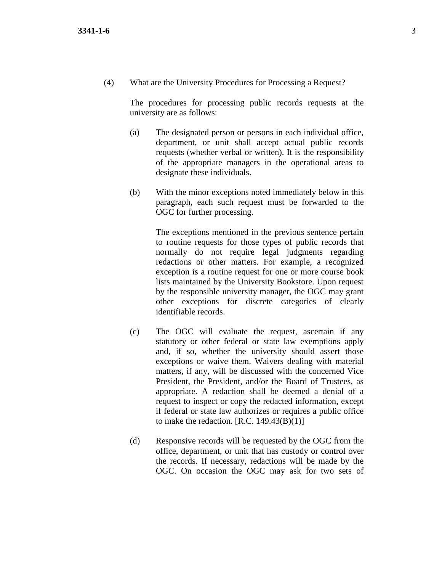(4) What are the University Procedures for Processing a Request?

The procedures for processing public records requests at the university are as follows:

- (a) The designated person or persons in each individual office, department, or unit shall accept actual public records requests (whether verbal or written). It is the responsibility of the appropriate managers in the operational areas to designate these individuals.
- (b) With the minor exceptions noted immediately below in this paragraph, each such request must be forwarded to the OGC for further processing.

The exceptions mentioned in the previous sentence pertain to routine requests for those types of public records that normally do not require legal judgments regarding redactions or other matters. For example, a recognized exception is a routine request for one or more course book lists maintained by the University Bookstore. Upon request by the responsible university manager, the OGC may grant other exceptions for discrete categories of clearly identifiable records.

- (c) The OGC will evaluate the request, ascertain if any statutory or other federal or state law exemptions apply and, if so, whether the university should assert those exceptions or waive them. Waivers dealing with material matters, if any, will be discussed with the concerned Vice President, the President, and/or the Board of Trustees, as appropriate. A redaction shall be deemed a denial of a request to inspect or copy the redacted information, except if federal or state law authorizes or requires a public office to make the redaction.  $[R.C. 149.43(B)(1)]$
- (d) Responsive records will be requested by the OGC from the office, department, or unit that has custody or control over the records. If necessary, redactions will be made by the OGC. On occasion the OGC may ask for two sets of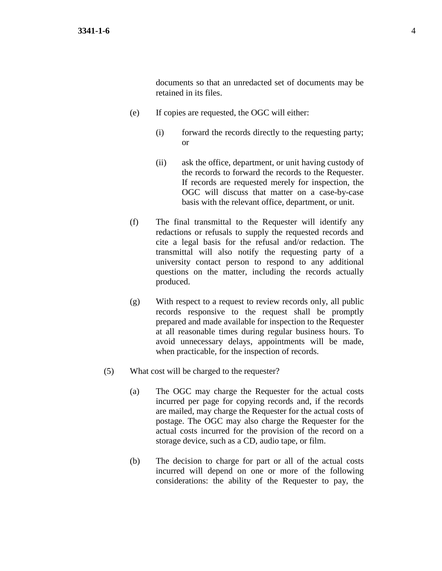documents so that an unredacted set of documents may be retained in its files.

- (e) If copies are requested, the OGC will either:
	- (i) forward the records directly to the requesting party; or
	- (ii) ask the office, department, or unit having custody of the records to forward the records to the Requester. If records are requested merely for inspection, the OGC will discuss that matter on a case-by-case basis with the relevant office, department, or unit.
- (f) The final transmittal to the Requester will identify any redactions or refusals to supply the requested records and cite a legal basis for the refusal and/or redaction. The transmittal will also notify the requesting party of a university contact person to respond to any additional questions on the matter, including the records actually produced.
- (g) With respect to a request to review records only, all public records responsive to the request shall be promptly prepared and made available for inspection to the Requester at all reasonable times during regular business hours. To avoid unnecessary delays, appointments will be made, when practicable, for the inspection of records.
- (5) What cost will be charged to the requester?
	- (a) The OGC may charge the Requester for the actual costs incurred per page for copying records and, if the records are mailed, may charge the Requester for the actual costs of postage. The OGC may also charge the Requester for the actual costs incurred for the provision of the record on a storage device, such as a CD, audio tape, or film.
	- (b) The decision to charge for part or all of the actual costs incurred will depend on one or more of the following considerations: the ability of the Requester to pay, the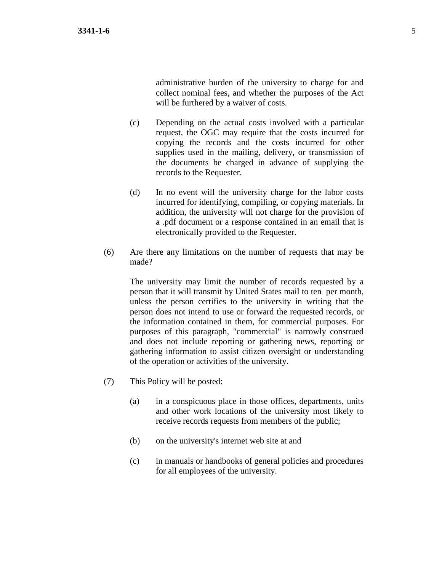administrative burden of the university to charge for and collect nominal fees, and whether the purposes of the Act will be furthered by a waiver of costs.

- (c) Depending on the actual costs involved with a particular request, the OGC may require that the costs incurred for copying the records and the costs incurred for other supplies used in the mailing, delivery, or transmission of the documents be charged in advance of supplying the records to the Requester.
- (d) In no event will the university charge for the labor costs incurred for identifying, compiling, or copying materials. In addition, the university will not charge for the provision of a .pdf document or a response contained in an email that is electronically provided to the Requester.
- (6) Are there any limitations on the number of requests that may be made?

The university may limit the number of records requested by a person that it will transmit by United States mail to ten per month, unless the person certifies to the university in writing that the person does not intend to use or forward the requested records, or the information contained in them, for commercial purposes. For purposes of this paragraph, "commercial" is narrowly construed and does not include reporting or gathering news, reporting or gathering information to assist citizen oversight or understanding of the operation or activities of the university.

- (7) This Policy will be posted:
	- (a) in a conspicuous place in those offices, departments, units and other work locations of the university most likely to receive records requests from members of the public;
	- (b) on the university's internet web site at and
	- (c) in manuals or handbooks of general policies and procedures for all employees of the university.